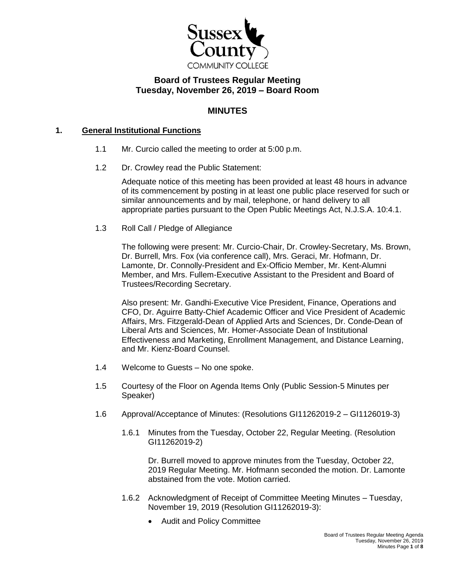

# **Board of Trustees Regular Meeting Tuesday, November 26, 2019 – Board Room**

# **MINUTES**

#### **1. General Institutional Functions**

- 1.1 Mr. Curcio called the meeting to order at 5:00 p.m.
- 1.2 Dr. Crowley read the Public Statement:

Adequate notice of this meeting has been provided at least 48 hours in advance of its commencement by posting in at least one public place reserved for such or similar announcements and by mail, telephone, or hand delivery to all appropriate parties pursuant to the Open Public Meetings Act, N.J.S.A. 10:4.1.

1.3 Roll Call / Pledge of Allegiance

The following were present: Mr. Curcio-Chair, Dr. Crowley-Secretary, Ms. Brown, Dr. Burrell, Mrs. Fox (via conference call), Mrs. Geraci, Mr. Hofmann, Dr. Lamonte, Dr. Connolly-President and Ex-Officio Member, Mr. Kent-Alumni Member, and Mrs. Fullem-Executive Assistant to the President and Board of Trustees/Recording Secretary.

Also present: Mr. Gandhi-Executive Vice President, Finance, Operations and CFO, Dr. Aguirre Batty-Chief Academic Officer and Vice President of Academic Affairs, Mrs. Fitzgerald-Dean of Applied Arts and Sciences, Dr. Conde-Dean of Liberal Arts and Sciences, Mr. Homer-Associate Dean of Institutional Effectiveness and Marketing, Enrollment Management, and Distance Learning, and Mr. Kienz-Board Counsel.

- 1.4 Welcome to Guests No one spoke.
- 1.5 Courtesy of the Floor on Agenda Items Only (Public Session-5 Minutes per Speaker)
- 1.6 Approval/Acceptance of Minutes: (Resolutions GI11262019-2 GI1126019-3)
	- 1.6.1 Minutes from the Tuesday, October 22, Regular Meeting. (Resolution GI11262019-2)

Dr. Burrell moved to approve minutes from the Tuesday, October 22, 2019 Regular Meeting. Mr. Hofmann seconded the motion. Dr. Lamonte abstained from the vote. Motion carried.

- 1.6.2 Acknowledgment of Receipt of Committee Meeting Minutes Tuesday, November 19, 2019 (Resolution GI11262019-3):
	- Audit and Policy Committee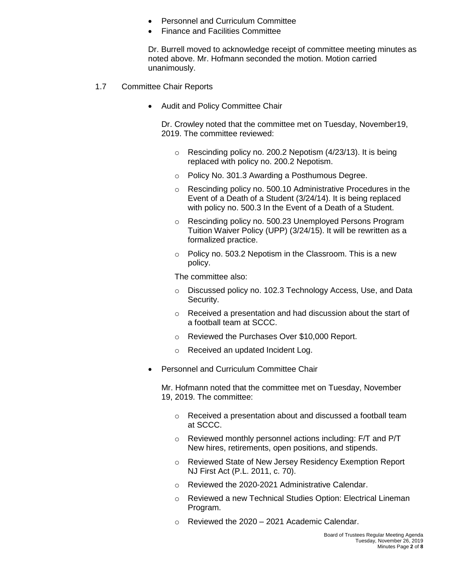- Personnel and Curriculum Committee
- Finance and Facilities Committee

Dr. Burrell moved to acknowledge receipt of committee meeting minutes as noted above. Mr. Hofmann seconded the motion. Motion carried unanimously.

- 1.7 Committee Chair Reports
	- Audit and Policy Committee Chair

Dr. Crowley noted that the committee met on Tuesday, November19, 2019. The committee reviewed:

- o Rescinding policy no. 200.2 Nepotism (4/23/13). It is being replaced with policy no. 200.2 Nepotism.
- o Policy No. 301.3 Awarding a Posthumous Degree.
- o Rescinding policy no. 500.10 Administrative Procedures in the Event of a Death of a Student (3/24/14). It is being replaced with policy no. 500.3 In the Event of a Death of a Student.
- o Rescinding policy no. 500.23 Unemployed Persons Program Tuition Waiver Policy (UPP) (3/24/15). It will be rewritten as a formalized practice.
- o Policy no. 503.2 Nepotism in the Classroom. This is a new policy.

The committee also:

- o Discussed policy no. 102.3 Technology Access, Use, and Data Security.
- o Received a presentation and had discussion about the start of a football team at SCCC.
- o Reviewed the Purchases Over \$10,000 Report.
- o Received an updated Incident Log.
- Personnel and Curriculum Committee Chair

Mr. Hofmann noted that the committee met on Tuesday, November 19, 2019. The committee:

- o Received a presentation about and discussed a football team at SCCC.
- o Reviewed monthly personnel actions including: F/T and P/T New hires, retirements, open positions, and stipends.
- o Reviewed State of New Jersey Residency Exemption Report NJ First Act (P.L. 2011, c. 70).
- o Reviewed the 2020-2021 Administrative Calendar.
- o Reviewed a new Technical Studies Option: Electrical Lineman Program.
- o Reviewed the 2020 2021 Academic Calendar.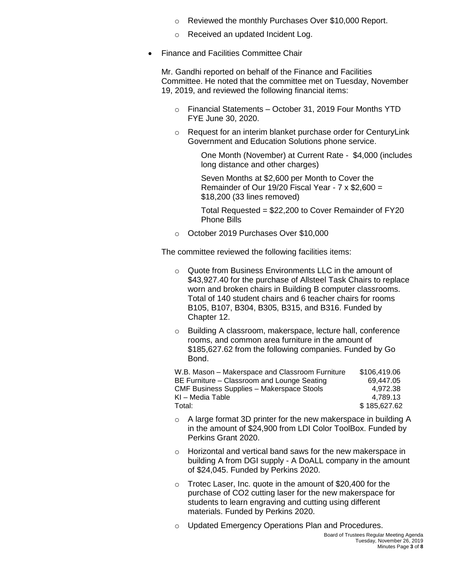- o Reviewed the monthly Purchases Over \$10,000 Report.
- o Received an updated Incident Log.
- Finance and Facilities Committee Chair

Mr. Gandhi reported on behalf of the Finance and Facilities Committee. He noted that the committee met on Tuesday, November 19, 2019, and reviewed the following financial items:

- o Financial Statements October 31, 2019 Four Months YTD FYE June 30, 2020.
- o Request for an interim blanket purchase order for CenturyLink Government and Education Solutions phone service.

One Month (November) at Current Rate - \$4,000 (includes long distance and other charges)

Seven Months at \$2,600 per Month to Cover the Remainder of Our 19/20 Fiscal Year -  $7 \times $2.600 =$ \$18,200 (33 lines removed)

Total Requested = \$22,200 to Cover Remainder of FY20 Phone Bills

o October 2019 Purchases Over \$10,000

The committee reviewed the following facilities items:

- o Quote from Business Environments LLC in the amount of \$43,927.40 for the purchase of Allsteel Task Chairs to replace worn and broken chairs in Building B computer classrooms. Total of 140 student chairs and 6 teacher chairs for rooms B105, B107, B304, B305, B315, and B316. Funded by Chapter 12.
- o Building A classroom, makerspace, lecture hall, conference rooms, and common area furniture in the amount of \$185,627.62 from the following companies. Funded by Go Bond.

W.B. Mason – Makerspace and Classroom Furniture \$106,419.06 BE Furniture – Classroom and Lounge Seating 69,447.05 CMF Business Supplies – Makerspace Stools 4,972.38  $KI - Media Table$  4,789.13 Total: \$ 185,627,62

- o A large format 3D printer for the new makerspace in building A in the amount of \$24,900 from LDI Color ToolBox. Funded by Perkins Grant 2020.
- o Horizontal and vertical band saws for the new makerspace in building A from DGI supply - A DoALL company in the amount of \$24,045. Funded by Perkins 2020.
- o Trotec Laser, Inc. quote in the amount of \$20,400 for the purchase of CO2 cutting laser for the new makerspace for students to learn engraving and cutting using different materials. Funded by Perkins 2020.
- o Updated Emergency Operations Plan and Procedures.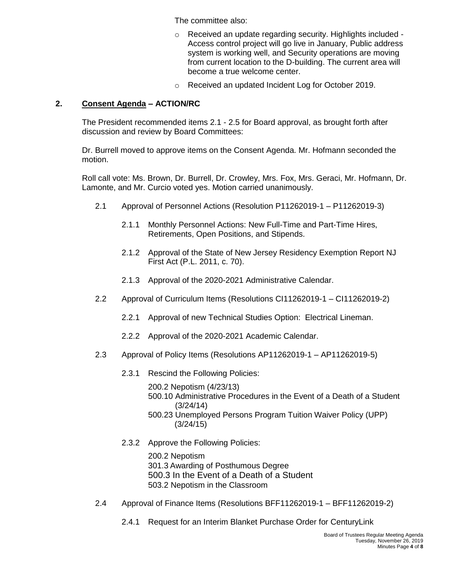The committee also:

- o Received an update regarding security. Highlights included Access control project will go live in January, Public address system is working well, and Security operations are moving from current location to the D-building. The current area will become a true welcome center.
- o Received an updated Incident Log for October 2019.

### **2. Consent Agenda – ACTION/RC**

The President recommended items 2.1 - 2.5 for Board approval, as brought forth after discussion and review by Board Committees:

Dr. Burrell moved to approve items on the Consent Agenda. Mr. Hofmann seconded the motion.

Roll call vote: Ms. Brown, Dr. Burrell, Dr. Crowley, Mrs. Fox, Mrs. Geraci, Mr. Hofmann, Dr. Lamonte, and Mr. Curcio voted yes. Motion carried unanimously.

- 2.1 Approval of Personnel Actions (Resolution P11262019-1 P11262019-3)
	- 2.1.1 Monthly Personnel Actions: New Full-Time and Part-Time Hires, Retirements, Open Positions, and Stipends.
	- 2.1.2 Approval of the State of New Jersey Residency Exemption Report NJ First Act (P.L. 2011, c. 70).
	- 2.1.3 Approval of the 2020-2021 Administrative Calendar.
- 2.2 Approval of Curriculum Items (Resolutions CI11262019-1 CI11262019-2)
	- 2.2.1 Approval of new Technical Studies Option: Electrical Lineman.
	- 2.2.2 Approval of the 2020-2021 Academic Calendar.
- 2.3 Approval of Policy Items (Resolutions AP11262019-1 AP11262019-5)
	- 2.3.1 Rescind the Following Policies:
		- 200.2 Nepotism (4/23/13)
		- 500.10 Administrative Procedures in the Event of a Death of a Student (3/24/14)
		- 500.23 Unemployed Persons Program Tuition Waiver Policy (UPP) (3/24/15)
	- 2.3.2 Approve the Following Policies:

200.2 Nepotism 301.3 Awarding of Posthumous Degree 500.3 In the Event of a Death of a Student 503.2 Nepotism in the Classroom

- 2.4 Approval of Finance Items (Resolutions BFF11262019-1 BFF11262019-2)
	- 2.4.1 Request for an Interim Blanket Purchase Order for CenturyLink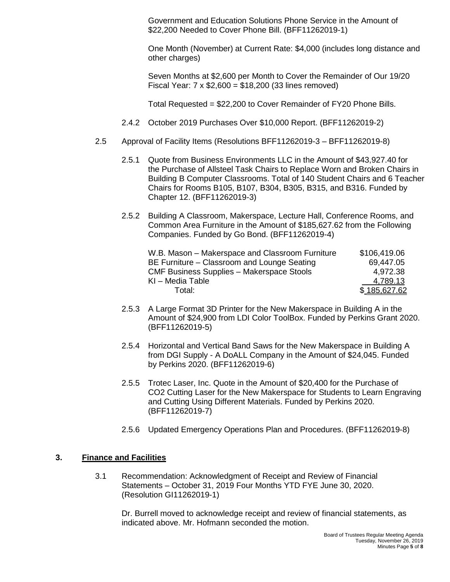Government and Education Solutions Phone Service in the Amount of \$22,200 Needed to Cover Phone Bill. (BFF11262019-1)

One Month (November) at Current Rate: \$4,000 (includes long distance and other charges)

Seven Months at \$2,600 per Month to Cover the Remainder of Our 19/20 Fiscal Year:  $7 \times $2,600 = $18,200$  (33 lines removed)

Total Requested = \$22,200 to Cover Remainder of FY20 Phone Bills.

- 2.4.2 October 2019 Purchases Over \$10,000 Report. (BFF11262019-2)
- 2.5 Approval of Facility Items (Resolutions BFF11262019-3 BFF11262019-8)
	- 2.5.1 Quote from Business Environments LLC in the Amount of \$43,927.40 for the Purchase of Allsteel Task Chairs to Replace Worn and Broken Chairs in Building B Computer Classrooms. Total of 140 Student Chairs and 6 Teacher Chairs for Rooms B105, B107, B304, B305, B315, and B316. Funded by Chapter 12. (BFF11262019-3)
	- 2.5.2 Building A Classroom, Makerspace, Lecture Hall, Conference Rooms, and Common Area Furniture in the Amount of \$185,627.62 from the Following Companies. Funded by Go Bond. (BFF11262019-4)

| W.B. Mason - Makerspace and Classroom Furniture  | \$106,419.06 |
|--------------------------------------------------|--------------|
| BE Furniture – Classroom and Lounge Seating      | 69,447.05    |
| <b>CMF Business Supplies - Makerspace Stools</b> | 4,972.38     |
| KI - Media Table                                 | 4,789.13     |
| Total:                                           | \$185,627.62 |

- 2.5.3 A Large Format 3D Printer for the New Makerspace in Building A in the Amount of \$24,900 from LDI Color ToolBox. Funded by Perkins Grant 2020. (BFF11262019-5)
- 2.5.4 Horizontal and Vertical Band Saws for the New Makerspace in Building A from DGI Supply - A DoALL Company in the Amount of \$24,045. Funded by Perkins 2020. (BFF11262019-6)
- 2.5.5 Trotec Laser, Inc. Quote in the Amount of \$20,400 for the Purchase of CO2 Cutting Laser for the New Makerspace for Students to Learn Engraving and Cutting Using Different Materials. Funded by Perkins 2020. (BFF11262019-7)
- 2.5.6 Updated Emergency Operations Plan and Procedures. (BFF11262019-8)

#### **3. Finance and Facilities**

3.1 Recommendation: Acknowledgment of Receipt and Review of Financial Statements – October 31, 2019 Four Months YTD FYE June 30, 2020. (Resolution GI11262019-1)

Dr. Burrell moved to acknowledge receipt and review of financial statements, as indicated above. Mr. Hofmann seconded the motion.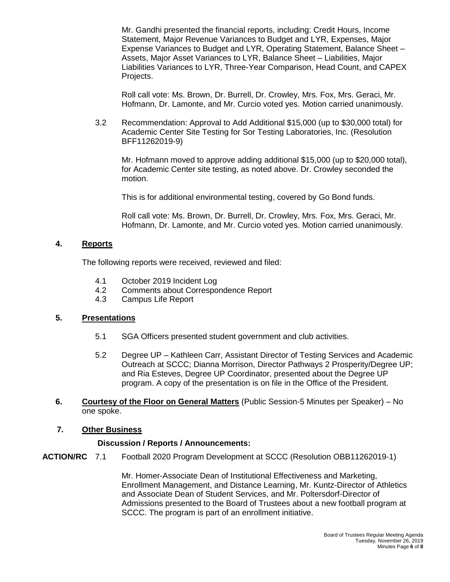Mr. Gandhi presented the financial reports, including: Credit Hours, Income Statement, Major Revenue Variances to Budget and LYR, Expenses, Major Expense Variances to Budget and LYR, Operating Statement, Balance Sheet – Assets, Major Asset Variances to LYR, Balance Sheet – Liabilities, Major Liabilities Variances to LYR, Three-Year Comparison, Head Count, and CAPEX Projects.

Roll call vote: Ms. Brown, Dr. Burrell, Dr. Crowley, Mrs. Fox, Mrs. Geraci, Mr. Hofmann, Dr. Lamonte, and Mr. Curcio voted yes. Motion carried unanimously.

3.2 Recommendation: Approval to Add Additional \$15,000 (up to \$30,000 total) for Academic Center Site Testing for Sor Testing Laboratories, Inc. (Resolution BFF11262019-9)

Mr. Hofmann moved to approve adding additional \$15,000 (up to \$20,000 total), for Academic Center site testing, as noted above. Dr. Crowley seconded the motion.

This is for additional environmental testing, covered by Go Bond funds.

Roll call vote: Ms. Brown, Dr. Burrell, Dr. Crowley, Mrs. Fox, Mrs. Geraci, Mr. Hofmann, Dr. Lamonte, and Mr. Curcio voted yes. Motion carried unanimously.

#### **4. Reports**

The following reports were received, reviewed and filed:

- 4.1 October 2019 Incident Log
- 4.2 Comments about Correspondence Report
- 4.3 Campus Life Report

#### **5. Presentations**

- 5.1 SGA Officers presented student government and club activities.
- 5.2 Degree UP Kathleen Carr, Assistant Director of Testing Services and Academic Outreach at SCCC; Dianna Morrison, Director Pathways 2 Prosperity/Degree UP; and Ria Esteves, Degree UP Coordinator, presented about the Degree UP program. A copy of the presentation is on file in the Office of the President.
- **6. Courtesy of the Floor on General Matters** (Public Session-5 Minutes per Speaker) No one spoke.

#### **7. Other Business**

#### **Discussion / Reports / Announcements:**

**ACTION/RC** 7.1 Football 2020 Program Development at SCCC (Resolution OBB11262019-1)

Mr. Homer-Associate Dean of Institutional Effectiveness and Marketing, Enrollment Management, and Distance Learning, Mr. Kuntz-Director of Athletics and Associate Dean of Student Services, and Mr. Poltersdorf-Director of Admissions presented to the Board of Trustees about a new football program at SCCC. The program is part of an enrollment initiative.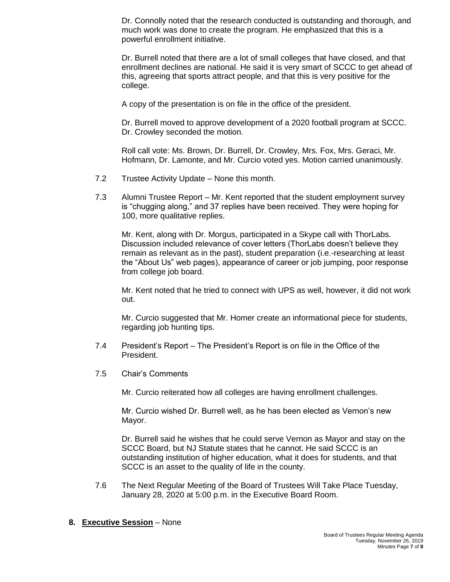Dr. Connolly noted that the research conducted is outstanding and thorough, and much work was done to create the program. He emphasized that this is a powerful enrollment initiative.

Dr. Burrell noted that there are a lot of small colleges that have closed, and that enrollment declines are national. He said it is very smart of SCCC to get ahead of this, agreeing that sports attract people, and that this is very positive for the college.

A copy of the presentation is on file in the office of the president.

Dr. Burrell moved to approve development of a 2020 football program at SCCC. Dr. Crowley seconded the motion.

Roll call vote: Ms. Brown, Dr. Burrell, Dr. Crowley, Mrs. Fox, Mrs. Geraci, Mr. Hofmann, Dr. Lamonte, and Mr. Curcio voted yes. Motion carried unanimously.

- 7.2 Trustee Activity Update None this month.
- 7.3 Alumni Trustee Report Mr. Kent reported that the student employment survey is "chugging along," and 37 replies have been received. They were hoping for 100, more qualitative replies.

Mr. Kent, along with Dr. Morgus, participated in a Skype call with ThorLabs. Discussion included relevance of cover letters (ThorLabs doesn't believe they remain as relevant as in the past), student preparation (i.e.-researching at least the "About Us" web pages), appearance of career or job jumping, poor response from college job board.

Mr. Kent noted that he tried to connect with UPS as well, however, it did not work out.

Mr. Curcio suggested that Mr. Homer create an informational piece for students, regarding job hunting tips.

- 7.4 President's Report The President's Report is on file in the Office of the President.
- 7.5 Chair's Comments

Mr. Curcio reiterated how all colleges are having enrollment challenges.

Mr. Curcio wished Dr. Burrell well, as he has been elected as Vernon's new Mayor.

Dr. Burrell said he wishes that he could serve Vernon as Mayor and stay on the SCCC Board, but NJ Statute states that he cannot. He said SCCC is an outstanding institution of higher education, what it does for students, and that SCCC is an asset to the quality of life in the county.

- 7.6 The Next Regular Meeting of the Board of Trustees Will Take Place Tuesday, January 28, 2020 at 5:00 p.m. in the Executive Board Room.
- **8. Executive Session** None